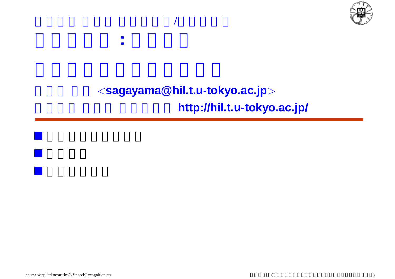

### $<$ sagayama@hil.t.u-tokyo.ac.jp $>$ http://hil.t.u-tokyo.ac.jp/

東京大学 工学部 計数工学科**/**物理工学科

応用音響学 **:** 音声認識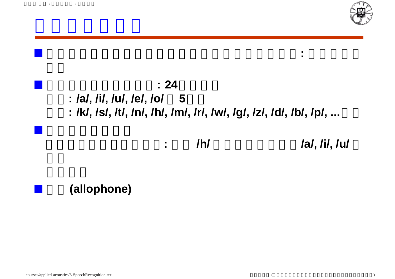



### 異音**(allophone)**

嵯峨山 茂樹 : 応用音響学 : 音声認識

courses/applied-acoustics/3-SpeechRecognition.tex ()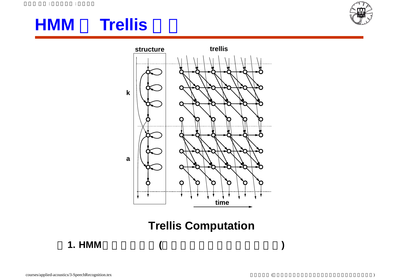#### $\mathbf{r} = \mathbf{r} \times \mathbf{r}$

## **HMM** Trellis





### **Trellis Computation**

**1. HMM**トレリス計算**(**縦方向は状態、横方向は時間**)**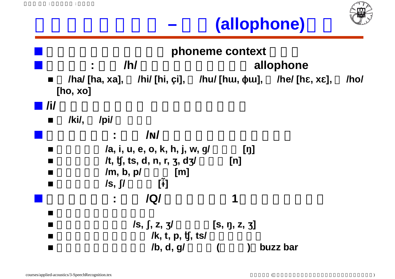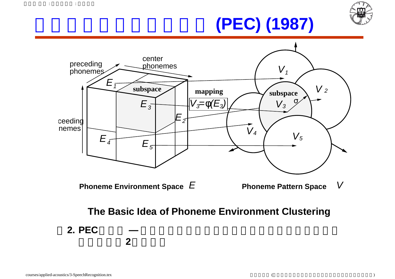# 音素環境クラスタリング **(PEC) (1987)**





### **The Basic Idea of Phoneme Environment Clustering**

**2. PEC**の原理 **—** 音響空間の像の分散が小さくなるように音素環境

 $\mathbf{r}$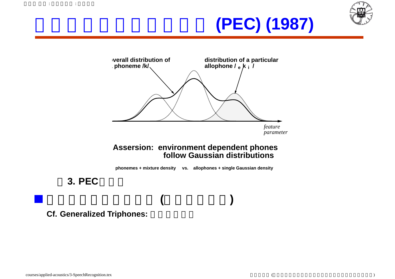

# 音素環境クラスタリング **(PEC) (1987)**



#### **Assersion: environment dependent phones follow Gaussian distributions**

**phonemes + mixture density vs. allophones + single Gaussian density**

### **3. PEC**

嵯峨山 茂樹 : 応用音響学 : 音声認識

**Cf. Generalized Triphones:** 

木構造クラスタリング **(**トップダウン**)**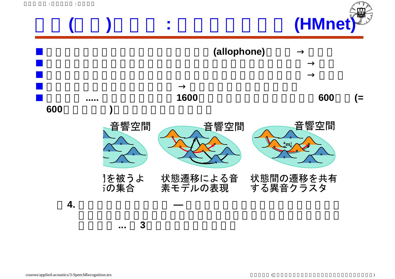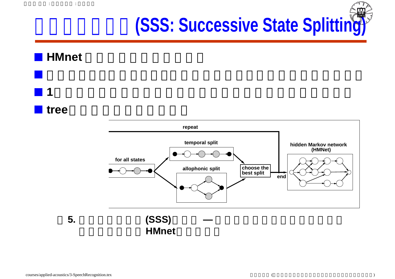# 逐次状態分割法**(SSS: Successive State Splitting)**

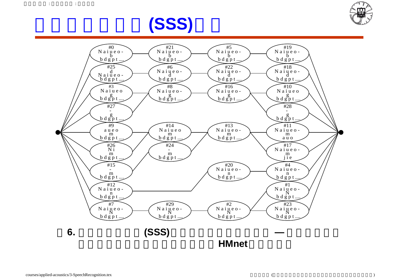



# 逐次状態分割法**(SSS)**の例

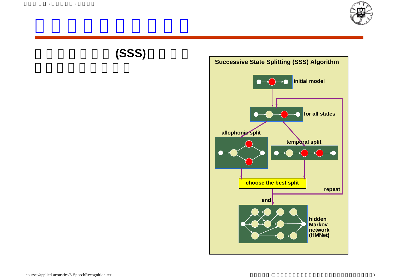





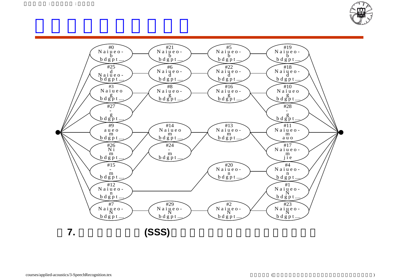



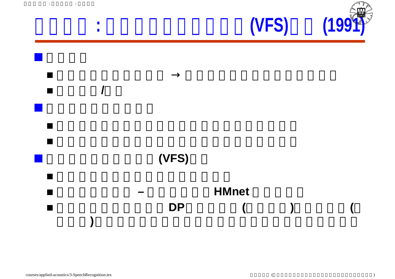

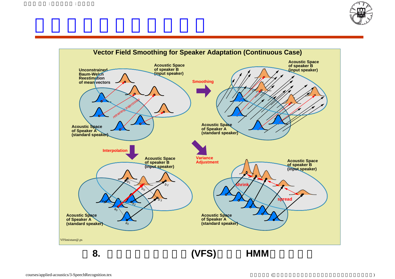

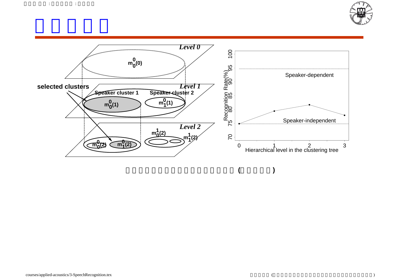

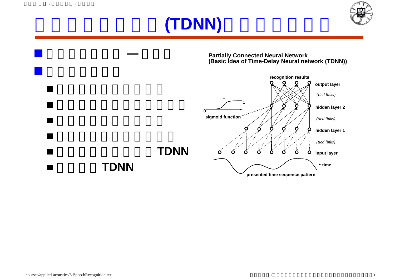## ニューラルネット**(TDNN)**による音声認識



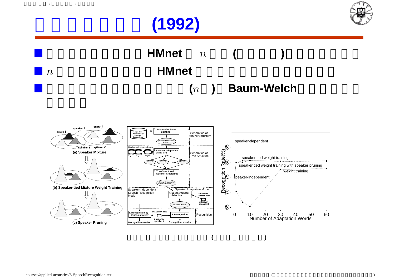



HMnet *n* (  $\blacksquare$   $n$  **HMnet** (n ) **Baum-Welch** 

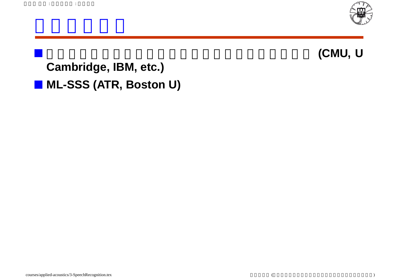

音声学的規則による音素環境の木構造クラスタリング **(CMU, U**

**Cambridge, IBM, etc.) ML-SSS (ATR, Boston U)**

 $\label{eq:2.1} \begin{array}{cccccccccc} \mathbf{r} & \mathbf{r} & \mathbf{r} & \mathbf{r} & \mathbf{r} & \mathbf{r} \\ \mathbf{r} & \mathbf{r} & \mathbf{r} & \mathbf{r} & \mathbf{r} & \mathbf{r} \end{array}$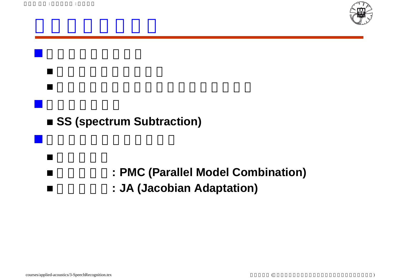



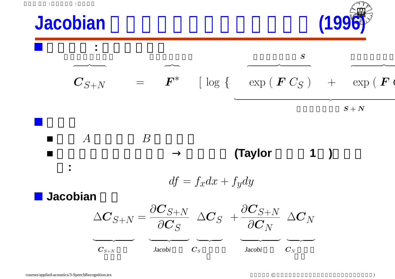



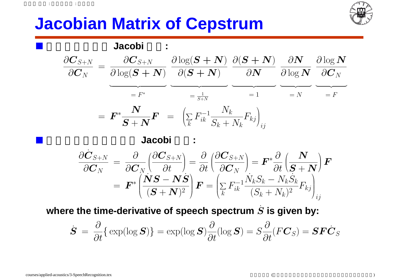## **Jacobian Matrix of Cepstrum**





where the time-derivative of speech spectrum  $\dot{S}$  is given by:

$$
\dot{\mathbf{S}} = \frac{\partial}{\partial t} \{ \exp(\log \mathbf{S}) \} = \exp(\log \mathbf{S}) \frac{\partial}{\partial t} (\log \mathbf{S}) = S \frac{\partial}{\partial t} (F\mathbf{C}_S) = \mathbf{S} \mathbf{F} \dot{\mathbf{C}}_S
$$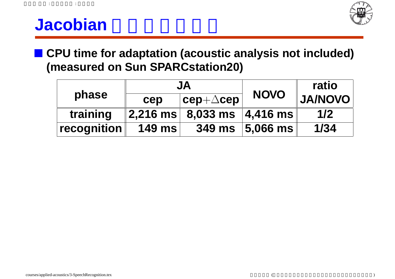

### **Jacobian**

**CPU time for adaptation (acoustic analysis not included) (measured on Sun SPARCstation20)**

| phase       | JA            |                                                    |             | ratio          |
|-------------|---------------|----------------------------------------------------|-------------|----------------|
|             | cep           | $ \texttt{cep+}\triangle\texttt{cep} $             | <b>NOVO</b> | <b>OVON\AL</b> |
| training    |               | $ 2,216 \text{ ms} $ 8,033 ms $ 4,416 \text{ ms} $ |             | 1/2            |
| recognition | <b>149 ms</b> | <b>349 ms</b>                                      | $ 5,066$ ms | 1/34           |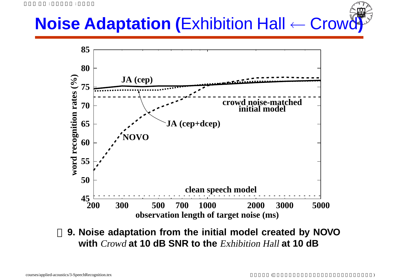## **Noise Adaptation (**Exhibition Hall ← Crowd**)**



**9. Noise adaptation from the initial model created by NOVO with** Crowd **at 10 dB SNR to the** Exhibition Hall **at 10 dB**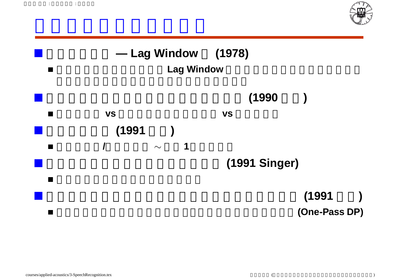



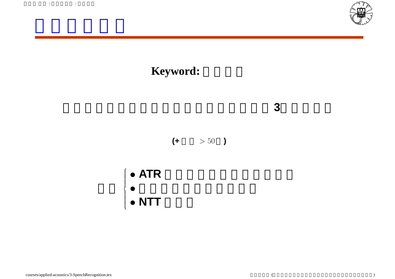









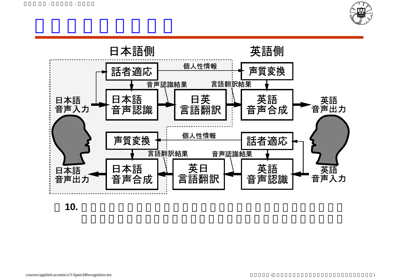



**10.** 自動翻訳システムの全体の概念図。日本語音声認識、日本語音声